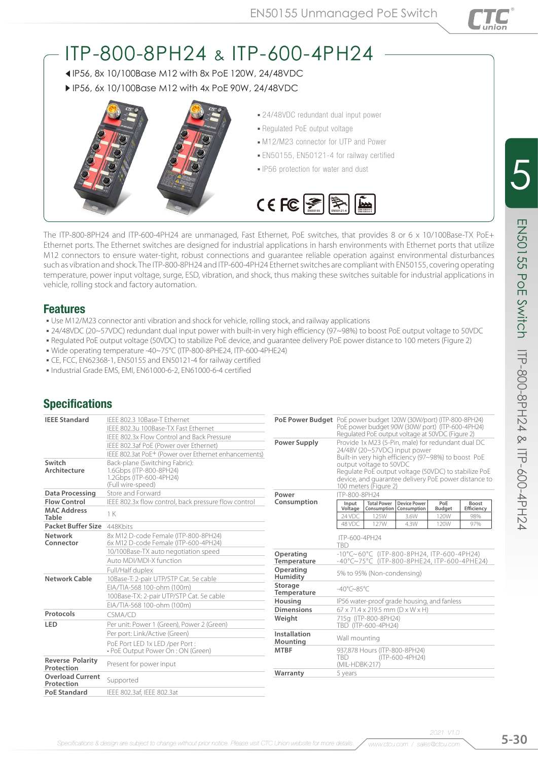

# ITP-800-8PH24 & ITP-600-4PH24

 IP56, 8x 10/100Base M12 with 8x PoE 120W, 24/48VDC ▶ IP56, 6x 10/100Base M12 with 4x PoE 90W, 24/48VDC



- 24/48VDC redundant dual input power
- Regulated PoE output voltage
- $-M12/M23$  connector for UTP and Power
- **EN50155, EN50121-4 for railway certified**
- IP56 protection for water and dust



The ITP-800-8PH24 and ITP-600-4PH24 are unmanaged, Fast Ethernet, PoE switches, that provides 8 or 6 x 10/100Base-TX PoE+ Ethernet ports. The Ethernet switches are designed for industrial applications in harsh environments with Ethernet ports that utilize M12 connectors to ensure water-tight, robust connections and guarantee reliable operation against environmental disturbances such as vibration and shock. The ITP-800-8PH24 and ITP-600-4PH24 Ethernet switches are compliant with EN50155, covering operating temperature, power input voltage, surge, ESD, vibration, and shock, thus making these switches suitable for industrial applications in vehicle, rolling stock and factory automation.

#### Features

- . Use M12/M23 connector anti vibration and shock for vehicle, rolling stock, and railway applications
- 24/48VDC (20~57VDC) redundant dual input power with built-in very high efficiency (97~98%) to boost PoE output voltage to 50VDC
- Regulated PoE output voltage (50VDC) to stabilize PoE device, and guarantee delivery PoE power distance to 100 meters (Figure 2)
- Wide operating temperature -40~75°C (ITP-800-8PHE24, ITP-600-4PHE24)
- CE, FCC, EN62368-1, EN50155 and EN50121-4 for railway certified
- Industrial Grade EMS, EMI, EN61000-6-2, EN61000-6-4 certified

## **Specifications**

| <b>IEEE Standard</b>                  | IEEE 802.3 10Base-T Ethernet                                                                              |                               | PoE Power Budget PoE power budget 120W (30W/port) (ITP-800-8PH24)<br>PoE power budget 90W (30W/ port) (ITP-600-4PH24)                                            |                    |                                   |                       |                   |  |  |
|---------------------------------------|-----------------------------------------------------------------------------------------------------------|-------------------------------|------------------------------------------------------------------------------------------------------------------------------------------------------------------|--------------------|-----------------------------------|-----------------------|-------------------|--|--|
|                                       | IFFF 802.3u 100Base-TX Fast Ethernet                                                                      |                               |                                                                                                                                                                  |                    |                                   |                       |                   |  |  |
|                                       | IEEE 802.3x Flow Control and Back Pressure                                                                |                               | Regulated PoE output voltage at 50VDC (Figure 2)                                                                                                                 |                    |                                   |                       |                   |  |  |
|                                       | IEEE 802.3af PoE (Power over Ethernet)                                                                    | <b>Power Supply</b>           | Provide 1x M23 (5-Pin, male) for redundant dual DC                                                                                                               |                    |                                   |                       |                   |  |  |
|                                       | IEEE 802.3at PoE <sup>+</sup> (Power over Ethernet enhancements)                                          |                               | 24/48V (20~57VDC) input power<br>Built-in very high efficiency (97~98%) to boost PoE                                                                             |                    |                                   |                       |                   |  |  |
| Switch<br>Architecture                | Back-plane (Switching Fabric):<br>1.6Gbps (ITP-800-8PH24)<br>1.2Gbps (ITP-600-4PH24)<br>(Full wire-speed) |                               | output voltage to 50VDC<br>Regulate PoE output voltage (50VDC) to stabilize PoE<br>device, and quarantee delivery PoE power distance to<br>100 meters (Figure 2) |                    |                                   |                       |                   |  |  |
| Data Processing                       | Store and Forward                                                                                         | Power                         | ITP-800-8PH24                                                                                                                                                    |                    |                                   |                       |                   |  |  |
| <b>Flow Control</b>                   | IEEE 802.3x flow control, back pressure flow control                                                      | Consumption                   | Input                                                                                                                                                            | <b>Total Power</b> | <b>Device Power</b>               | PoE                   | Boost             |  |  |
| <b>MAC Address</b><br><b>Table</b>    | 1 K                                                                                                       |                               | Voltage<br>24 VDC                                                                                                                                                | 125W               | Consumption   Consumption<br>3.6W | <b>Budget</b><br>120W | Efficiency<br>98% |  |  |
| Packet Buffer Size 448Kbits           |                                                                                                           |                               | 48 VDC                                                                                                                                                           | 127W               | 4.3W                              | 120W                  | 97%               |  |  |
| <b>Network</b><br>Connector           | 8x M12 D-code Female (ITP-800-8PH24)<br>6x M12 D-code Female (ITP-600-4PH24)                              |                               | ITP-600-4PH24<br><b>TBD</b>                                                                                                                                      |                    |                                   |                       |                   |  |  |
|                                       | 10/100Base-TX auto negotiation speed                                                                      | Operating                     | $-10^{\circ}$ C $\sim$ 60°C (ITP-800-8PH24, ITP-600-4PH24)<br>-40°C~75°C (ITP-800-8PHE24, ITP-600-4PHE24)<br>5% to 95% (Non-condensing)                          |                    |                                   |                       |                   |  |  |
|                                       | Auto MDI/MDI-X function                                                                                   | Temperature                   |                                                                                                                                                                  |                    |                                   |                       |                   |  |  |
|                                       | Full/Half duplex                                                                                          | Operating                     |                                                                                                                                                                  |                    |                                   |                       |                   |  |  |
| Network Cable                         | 10Base-T: 2-pair UTP/STP Cat. 5e cable                                                                    | Humidity                      |                                                                                                                                                                  |                    |                                   |                       |                   |  |  |
|                                       | EIA/TIA-568 100-ohm (100m)                                                                                | Storage<br><b>Temperature</b> | $-40^{\circ}$ C $\sim$ 85°C                                                                                                                                      |                    |                                   |                       |                   |  |  |
|                                       | 100Base-TX: 2-pair UTP/STP Cat. 5e cable                                                                  | Housing                       | IP56 water-proof grade housing, and fanless                                                                                                                      |                    |                                   |                       |                   |  |  |
|                                       | EIA/TIA-568 100-ohm (100m)                                                                                | <b>Dimensions</b>             | 67 x 71.4 x 219.5 mm (D x W x H)                                                                                                                                 |                    |                                   |                       |                   |  |  |
| Protocols                             | CSMA/CD                                                                                                   | Weight                        | 715a (ITP-800-8PH24)                                                                                                                                             |                    |                                   |                       |                   |  |  |
| LED                                   | Per unit: Power 1 (Green), Power 2 (Green)                                                                |                               | TBD (ITP-600-4PH24)                                                                                                                                              |                    |                                   |                       |                   |  |  |
|                                       | Per port: Link/Active (Green)                                                                             | Installation                  | Wall mounting<br>937,878 Hours (ITP-800-8PH24)                                                                                                                   |                    |                                   |                       |                   |  |  |
|                                       | PoE Port LED 1x LED /per Port:                                                                            | Mounting                      |                                                                                                                                                                  |                    |                                   |                       |                   |  |  |
|                                       | • PoE Output Power On : ON (Green)                                                                        | <b>MTBF</b>                   |                                                                                                                                                                  |                    |                                   |                       |                   |  |  |
| <b>Reverse Polarity</b><br>Protection | Present for power input                                                                                   |                               | <b>TBD</b><br>(ITP-600-4PH24)<br>(MIL-HDBK-217)                                                                                                                  |                    |                                   |                       |                   |  |  |
| <b>Overload Current</b><br>Protection | Supported                                                                                                 | Warranty                      | 5 years                                                                                                                                                          |                    |                                   |                       |                   |  |  |
| <b>PoE Standard</b>                   | IEEE 802.3af, IEEE 802.3at                                                                                |                               |                                                                                                                                                                  |                    |                                   |                       |                   |  |  |

*2021 V1.0*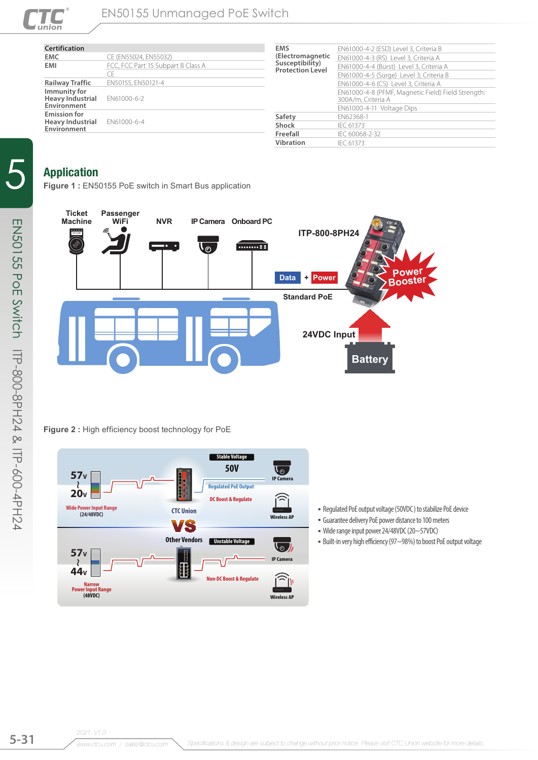

| <b>Certification</b>                                          |                                    | <b>EMS</b>                                 | EN61000-4-2 (ESD) Level 3, Criteria B                                                                            |  |  |  |  |
|---------------------------------------------------------------|------------------------------------|--------------------------------------------|------------------------------------------------------------------------------------------------------------------|--|--|--|--|
| <b>EMC</b>                                                    | CE (EN55024, EN55032)              | (Electromagnetic                           | EN61000-4-3 (RS) Level 3, Criteria A                                                                             |  |  |  |  |
| EMI                                                           | FCC, FCC Part 15 Subpart B Class A | Susceptibility)<br><b>Protection Level</b> | EN61000-4-4 (Burst) Level 3, Criteria A<br>EN61000-4-5 (Surge) Level 3, Criteria B                               |  |  |  |  |
|                                                               | Œ                                  |                                            |                                                                                                                  |  |  |  |  |
| <b>Railway Traffic</b>                                        | EN50155, EN50121-4                 |                                            | EN61000-4-6 (CS) Level 3, Criteria A<br>EN61000-4-8 (PFMF, Magnetic Field) Field Strength:<br>300A/m, Criteria A |  |  |  |  |
| Immunity for<br><b>Heavy Industrial</b>                       |                                    |                                            |                                                                                                                  |  |  |  |  |
|                                                               | EN61000-6-2                        |                                            |                                                                                                                  |  |  |  |  |
| Environment                                                   |                                    |                                            | EN61000-4-11 Voltage Dips                                                                                        |  |  |  |  |
| <b>Emission for</b><br><b>Heavy Industrial</b><br>Environment |                                    | Safety                                     | EN62368-1                                                                                                        |  |  |  |  |
|                                                               | EN61000-6-4                        | <b>Shock</b>                               | IEC 61373                                                                                                        |  |  |  |  |
|                                                               |                                    | Freefall                                   | IFC 60068-2-32                                                                                                   |  |  |  |  |
|                                                               |                                    | <b>Vibration</b>                           | IFC 61373                                                                                                        |  |  |  |  |
|                                                               |                                    |                                            |                                                                                                                  |  |  |  |  |

## Application

**Figure 1 :** EN50155 PoE switch in Smart Bus application



#### **Figure 2 :** High efficiency boost technology for PoE



- Regulated PoE output voltage (50VDC ) to stabilize PoE device
- Guarantee delivery PoE power distance to 100 meters
- Wide range input power 24/48VDC (20~57VDC)
- Built-in very high efficiency (97~98%) to boost PoE output voltage

5